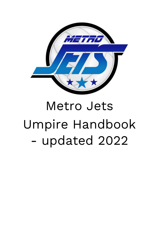

# Metro Jets Umpire Handbook - updated 2022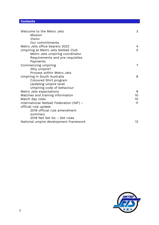# **Contents**

| Welcome to the Metro Jets                | 3              |
|------------------------------------------|----------------|
| Mission                                  |                |
| Vision                                   |                |
| Our commitments                          |                |
| Metro Jets office bearers 2022           | $\overline{4}$ |
| Umpiring at Metro Jets Netball Club      | 5              |
| Metro Jets umpiring coordinator          |                |
| Requirements and pre-requisites          |                |
| Payments                                 |                |
| Commencing umpiring                      | $\overline{7}$ |
| Why umpire?                              |                |
| Process within Metro Jets                |                |
| Umpiring in South Australia              | 8              |
| Coloured Shirt program                   |                |
| Updating umpire level                    |                |
| Umpiring code of behaviour               |                |
| Metro Jets expectations                  | 9              |
| Matches and training information         | 10             |
| Match day roles                          | 10             |
| International Netball Federation (INF) - | 11             |
| official rule update                     |                |
| 2019 official rule amendment             |                |
| summary                                  |                |
| 2019 Net Set Go - Set rules              |                |
| National umpire development framework    | 12             |
|                                          |                |

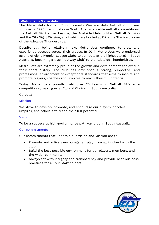# **Welcome to Metro Jets**

The Metro Jets Netball Club, formerly Western Jets Netball Club, was founded in 1995, participates in South Australia's elite netball competitions: the Netball SA Premier League; the Adelaide Metropolitan Netball Division and the City Night Division, all of which are hosted at Priceline Stadium, home of the Adelaide Thunderbirds.

Despite still being relatively new, Metro Jets continues to grow and experience success across their grades. In 2014, Metro Jets were endorsed as one of eight Premier League Clubs to compete at the highest level in South Australia, becoming a true 'Pathway Club' to the Adelaide Thunderbirds.

Metro Jets are extremely proud of the growth and development achieved in their short history. The club has developed a strong, supportive, and professional environment of exceptional standards that aims to inspire and promote players, coaches and umpires to reach their full potential.

Today, Metro Jets proudly field over 25 teams in Netball SA's elite competitions, making us a 'Club of Choice' in South Australia.

Go Jets!

# Mission

We strive to develop, promote, and encourage our players, coaches, umpires, and officials to reach their full potential.

# Vision

To be a successful high-performance pathway club in South Australia.

# Our commitments

Our commitments that underpin our Vision and Mission are to:

- Promote and actively encourage fair play from all involved with the club
- Build the best possible environment for our players, members, and the wider community
- Always act with integrity and transparency and provide best business practices for all our stakeholders.

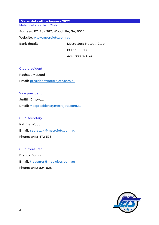#### **Metro Jets office bearers 2022** Metro Jets Netball Club

Address: PO Box 367, Woodville, SA, 5022 Website: [www.metrojets.com.au](http://www.metrojets.com.au/) Bank details: Metro Jets Netball Club

BSB: 105 018 Acc: 080 324 740

#### Club president

Rachael McLeod Email: [president@metrojets.com.au](mailto:president@metrojets.com.au)

#### Vice president

Judith Dingwall

Email: [vicepresident@metrojets.com.au](mailto:vicepresident@metrojets.com.au)

#### Club secretary

Katrina Wood Email: [secretary@metrojets.com.au](mailto:secretary@metrojets.com.au) Phone: 0418 472 536

#### Club treasurer

Brenda Dombi Email: [treasurer@metrojets.com.au](mailto:treasurer@metrojets.com.au) Phone: 0412 824 828

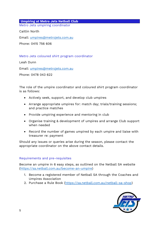**Umpiring at Metro Jets Netball Club** Metro Jets umpiring coordinator

Caitlin North

Email: [umpires@metrojets.com.au](mailto:umpires@metrojets.com.au)

Phone: 0415 756 606

Metro Jets coloured shirt program coordinator

Leah Dunn

Email: [umpires@metrojets.com.au](mailto:umpires@metrojets.com.au)

Phone: 0478 043 622

The role of the umpire coordinator and coloured shirt program coordinator is as follows:

- Actively seek, support, and develop club umpires
- Arrange appropriate umpires for: match day; trials/training sessions; and practice matches
- Provide umpiring experience and mentoring in club
- Organise training & development of umpires and arrange Club support when needed
- Record the number of games umpired by each umpire and liaise with treasurer re: payment

Should any issues or queries arise during the season, please contact the appropriate coordinator on the above contact details.

# Requirements and pre-requisites

Become an umpire in 6 easy steps, as outlined on the Netball SA website [\(https://sa.netball.com.au/become-an-umpire\)](https://sa.netball.com.au/become-an-umpire)

- 1. Become a registered member of Netball SA through the Coaches and Umpires Association
- 2. Purchase a Rule Book [\(https://sa.netball.com.au/netball-sa-shop\)](https://sa.netball.com.au/netball-sa-shop)

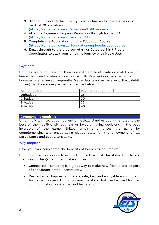- 3. Sit the Rules of Netball Theory Exam online and achieve a passing mark of 70% or above [\(https://sa.netball.com.au/rulesofnetballtheoryexam\)](https://sa.netball.com.au/rulesofnetballtheoryexam)
- 4. Attend a Beginners Umpires Workshop through Netball SA [\(https://sa.netball.com.au/events#187\)](https://sa.netball.com.au/events#187)
- 5. Complete the Foundation Umpire Education Course [\(https://sa.netball.com.au/foundationumpireeducationcourse\)](https://sa.netball.com.au/foundationumpireeducationcourse)
- 6. Email through to the club secretary or Coloured Shirt Program Coordinator to start your umpiring journey with Metro Jets!

# Payments

Umpires are reimbursed for their commitment to officiate on match day, in line with current guidance from Netball SA. Payments do vary per club, however, are reviewed frequently. Metro Jets umpires receive a direct debit fortnightly. Please see payment schedule below:

| Accreditation   | Payment per game (\$) |
|-----------------|-----------------------|
| Unbadged        | 25                    |
| $\vert$ C badge | 30                    |
| B badge         | 35                    |
| A badge         | 40                    |

#### **Commencing umpiring**

Umpiring is an integral component of netball. Umpires apply the rules to the best of their ability, without fear or favour, making decisions in the best interests of the game. Skilled umpiring enhances the game by complementing and encouraging skilled play, for the enjoyment of all participants and spectators alike.

# Why umpire?

Have you ever considered the benefits of becoming an umpire?

Umpiring provides you with so much more than just the ability to officiate the rules of the game. It can make you feel:

- Connected Umpiring is a great way to make new friends and be part of the vibrant netball community.
- Respected Umpires facilitate a safe, fair, and enjoyable environment for netball players. Umpiring develops skills that can be used for life: communication, resilience, and leadership.

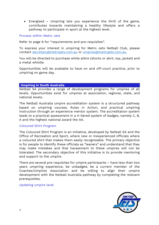• Energised – Umpiring lets you experience the thrill of the game, contributes towards maintaining a healthy lifestyle and offers a pathway to participate in sport at the highest level.

Process within Metro Jets

Refer to page 6 for "requirements and pre-requisites".

To express your interest in umpiring for Metro Jets Netball Club, please contact [secretary@metrojets.com.au](mailto:secretary@metrojets.com.au) or [umpires@metrojets.com.au.](mailto:umpires@metrojets.com.au)

You will be directed to purchase white attire (shorts or skirt, top, jacket) and a metal whistle.

Opportunities will be available to have on and off-court practice, prior to umpiring on game day.

#### **Umpiring in South Australia**

Netball SA provides a range of development programs for umpires of all levels. Opportunities exist for umpires at association, regional, state, and national levels.

The Netball Australia umpire accreditation system is a structured pathway based on umpiring courses, Rules in Action, and practical umpiring instruction through an experience mentor system. The accreditation system leads to a practical assessment in a 4-tiered system of badges, namely C, B, A and the highest national award the AA.

# Coloured Shirt Program

The Coloured Shirt Program is an initiative, developed by Netball SA and the Office of Recreation and Sport, where new or inexperienced officials where a coloured shirt that makes them easily recognisable. The primary objective is for people to identify these officials as "leaners" and understand that they may make mistakes and that harassment to these umpires will not be tolerated. The secondary objective of this initiative is to provide mentoring and support to the umpire.

There are several pre-requisites for umpire participants – have less than two years umpiring experience, be unbadged, be a current member of the Coaches/Umpires Association and be willing to align their umpire development with the Netball Australia pathway by completing the relevant prerequisites.

Updating umpire level

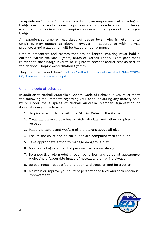To update an 'on court' umpire accreditation, an umpire must attain a higher badge level, or attend at leave one professional umpire education unit (theory examination, rules in action or umpire course) within six years of obtaining a badge.

An experienced umpire, regardless of badge level, who is returning to umpiring, may update as above. However, in accordance with normal practise, umpire allocation will be based on performance.

Umpire presenters and testers that are no longer umpiring must hold a current (within the last 4 years) Rules of Netball Theory Exam pass mark relevant to their badge level to be eligible to present and/or test as part of the National Umpire Accreditation System.

They can be found here" [https://netball.com.au/sites/default/files/2019-](https://netball.com.au/sites/default/files/2019-06/Umpire-update-criteria.pdf) [06/Umpire-update-criteria.pdf](https://netball.com.au/sites/default/files/2019-06/Umpire-update-criteria.pdf)

# Umpiring code of behaviour

In addition to Netball Australia's General Code of Behaviour, you must meet the following requirements regarding your conduct during any activity held by or under the auspices of Netball Australia, Member Organisation or Associates in your role as an umpire.

- 1. Umpire in accordance with the Official Rules of the Game
- 2. Treat all players, coaches, match officials and other umpires with respect
- 3. Place the safety and welfare of the players above all else
- 4. Ensure the court and its surrounds are complaint with the rules
- 5. Take appropriate action to manage dangerous play
- 6. Maintain a high standard of personal behaviour always
- 7. Be a positive role model through behaviour and personal appearance projecting a favourable image of netball and umpiring always
- 8. Be courteous, respectful, and open to discussion and interaction
- 9. Maintain or improve your current performance level and seek continual improvement

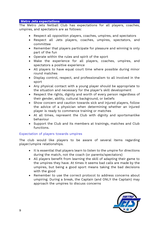#### **Metro Jets expectations**

The Metro Jets Netball Club has expectations for all players, coaches, umpires, and spectators are as follows:

- Respect all opposition players, coaches, umpires, and spectators
- Respect all Jets players, coaches, umpires, spectators, and committee
- Remember that players participate for pleasure and winning is only part of the fun
- Operate within the rules and spirit of the sport
- Make the experience for all players, coaches, umpires, and spectators a positive experience
- All players to have equal court time where possible during minor round matches
- Display control, respect, and professionalism to all involved in the sport
- Any physical contact with a young player should be appropriate to the situation and necessary for the player's skill development
- Respect the rights, dignity and worth of every person regardless of their gender, ability, cultural background, or beliefs
- Show concern and caution towards sick and injured players, follow the advice of a physician when determining whether an injured player is ready to commence training or matches
- At all times, represent the Club with dignity and sportsmanlike behaviour
- Support the Club and its members at trainings, matches and Club functions.

# Expectation of players towards umpires

The club would like players to be aware of several items regarding player/umpire relationships.

- It is essential that players learn to listen to the umpire for directions during the match, not the coach (or parents/spectators)
- All players benefit from learning the skill of adapting their game to the umpires they have. At times it seems bad calls are made by the umpires, but being a good sport means taking the bad decisions with the good
- Remember to use the correct protocol to address concerns about umpiring. During a break, the Captain (and ONLY the Captain) may approach the umpires to discuss concerns

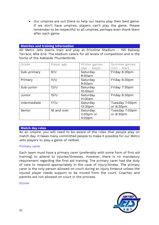• Our umpires are out there to help our teams play their best game. If we don't have umpires, players can't play the game. Please remember to be respectful to all umpires, perhaps even thank them after each game.

#### **Matches and training information**

All Metro Jets teams train and play at Priceline Stadium – 155 Railway Terrace, Mile End. The stadium caters for all levels of competition and is the home of the Adelaide Thunderbirds.

| Grade        | Player age      | Winter games       | Summer games   |
|--------------|-----------------|--------------------|----------------|
|              |                 | (Apr – Sept)       | $(Oct - Mar)$  |
| Sub-primary  | 9/U             | Saturday           | Friday 6:30pm  |
|              |                 | 9:00am             |                |
| Primary      | 11/U            | Saturday           | Friday 6:30pm  |
|              |                 | 9:00am             |                |
| Sub-junior   | $12$ /U         | Saturday           | Friday 7:30pm  |
|              |                 | 10:00am            |                |
| Junior       | 15 <sub>U</sub> | Saturday           | Friday 8:30pm  |
|              |                 | 11:00am            |                |
| Intermediate | 17 <sub>U</sub> | Saturday           | Tuesday 7:00pm |
|              |                 | 12:30pm            | or 8:30pm      |
| Senior       | 18 and over     | Saturday           | Tuesday 7:00pm |
|              |                 | $2:00pm$ or        | or 8:30pm      |
|              |                 | 4:20 <sub>pm</sub> |                |

#### **Match day roles**

As an umpire, you will need to be aware of the roles that people play on match day. It takes many committed people to make it possible for our Metro Jets players to play a game of netball.

#### Primary carer

Each team must have a primary carer (preferably with some form of first aid training) to attend to injuries/illnesses. However, there is no mandatory requirement regarding the first aid training. The primary carer had the duty of care to respond appropriately in the case of injury/illness. The primary carer is the only person allowed on court during an injury timeout unless the injured player needs support to be moved from the court. Coaches and parents are not allowed on court in the process.

Scorer

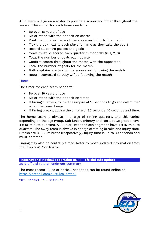All players will go on a roster to provide a scorer and timer throughout the season. The scorer for each team needs to:

- Be over 16 years of age
- Sit or stand with the opposition scorer
- Print the umpires name of the scorecard prior to the match
- Tick the box next to each player's name as they take the court
- Record all centre passes and goals
- Goals must be scored each quarter numerically (ie 1, 2, 3)
- Total the number of goals each quarter
- Confirm scores throughout the match with the opposition
- Total the number of goals for the match
- Both captains are to sign the score card following the match
- Return scorecard to Duty Office following the match

#### Timer

The timer for each team needs to:

- Be over 16 years of age
- Sit or stand with the opposition timer
- If timing quarters, follow the umpire at 10 seconds to go and call "time" when the timer beeps.
- If timing breaks, advise the umpire of 30 seconds, 10 seconds and time.

The home team is always in charge of timing quarters, and this varies depending on the age group. Sub junior, primary and Net Set Go grades have 4 x 10-minute quarters. All Junior, inter and senior grades have 4 x 15-minute quarters. The away team is always in charge of timing breaks and injury time. Breaks are 3, 5, 3 minutes (respectively). Injury time is up to 30 seconds and must be timed.

Timing may also be centrally timed. Refer to most updated information from the Umpiring Coordinator.

**International Netball Federation (INF) – official rule update** 2019 official rule amendment summary

The most recent Rules of Netball handbook can be found online at <https://netball.com.au/rules-netball>

2019 Net Set Go – Set rules

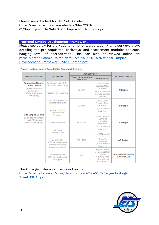#### Please see attached for Net Set Go rules: [https://wa.netball.com.au/sites/wa/files/2021-](https://wa.netball.com.au/sites/wa/files/2021-01/Suncorp%20NetSetGO%20Umpire%20Handbook.pdf) [01/Suncorp%20NetSetGO%20Umpire%20Handbook.pdf](https://wa.netball.com.au/sites/wa/files/2021-01/Suncorp%20NetSetGO%20Umpire%20Handbook.pdf)

#### **National Umpire Development Framework**

Please see below for the National Umpire Accreditation Framework overview, detailing the pre-requisites, pathways, and assessment modules for each badging level of accreditation. This can also be viewed online at: [https://netball.com.au/sites/default/files/2020-02/National-Umpire-](https://netball.com.au/sites/default/files/2020-02/National-Umpire-Development-Framework-2020-Edition.pdf)[Development-Framework-2020-Edition.pdf](https://netball.com.au/sites/default/files/2020-02/National-Umpire-Development-Framework-2020-Edition.pdf)

|  |  |  | Figure 1: National Umpire Accreditation Framework Overview |  |  |
|--|--|--|------------------------------------------------------------|--|--|
|--|--|--|------------------------------------------------------------|--|--|

|                                                                                                                                | <b>PATHWAYS</b>                                                                                   | <b>ASSESSMENT</b>                             |                                                                                                 |                                                   |
|--------------------------------------------------------------------------------------------------------------------------------|---------------------------------------------------------------------------------------------------|-----------------------------------------------|-------------------------------------------------------------------------------------------------|---------------------------------------------------|
| <b>PRE-REQUISITES</b>                                                                                                          |                                                                                                   | <b>Theory Examination</b><br><b>Pass Mark</b> | <b>Practical Test</b>                                                                           | <b>ACCREDITATION</b>                              |
| <b>Foundation Umpire</b><br><b>Online Course</b><br>(integrated with<br>Community<br><b>Officiating General</b><br>Principles) | Participating in Rules<br>Discussion workshops<br>Coaching/Mentoring                              | 70-79%                                        | Local Game<br>(Ladies, Mens<br>or Mixed)<br>$(4 \times 10, 12$ or 15<br>minute quarter<br>game) | C Badge                                           |
|                                                                                                                                | Practice Umpiring at<br>appropriate level<br><b>Attend Umpire</b><br>Development                  | 80-89%                                        | Local Game<br>(Ladies, Mens<br>or Mixed)<br>$(4 \times 15$ minute<br>quarters)                  | <b>B</b> Badge                                    |
| <b>Elite Umpire Course</b><br>Cincludes Advanced<br>Level Officiating<br>General Principles)                                   | Programs<br>Self-Reflection<br>Individual                                                         | 90-100%                                       | State League<br>Game of<br>a suitable<br>standard<br>$(4 \times 15$ minute<br>quarters)         | A Badge                                           |
|                                                                                                                                | Development<br>Community<br><b>Officiating General</b><br>Principles course<br>(available online) | 90-100%                                       | 1 x SSN match<br>or<br>$2 \times ANL$<br>matches<br>$(4 \times 15$ minute<br>quarters)          | <b>AA Badge</b>                                   |
|                                                                                                                                | Advanced Level<br><b>Officiating General</b><br>Principles                                        | N/A                                           | <b>Highest Level</b><br>of Competition<br>in the<br>Country with<br>International<br>Experience | <b>International Umpire</b><br><b>Award (IUA)</b> |

# The C badge criteria can be found online:

[https://netball.com.au/sites/default/files/2019-06/C-Badge-Testing-](https://netball.com.au/sites/default/files/2019-06/C-Badge-Testing-Sheet_FINAL.pdf)[Sheet\\_FINAL.pdf](https://netball.com.au/sites/default/files/2019-06/C-Badge-Testing-Sheet_FINAL.pdf)